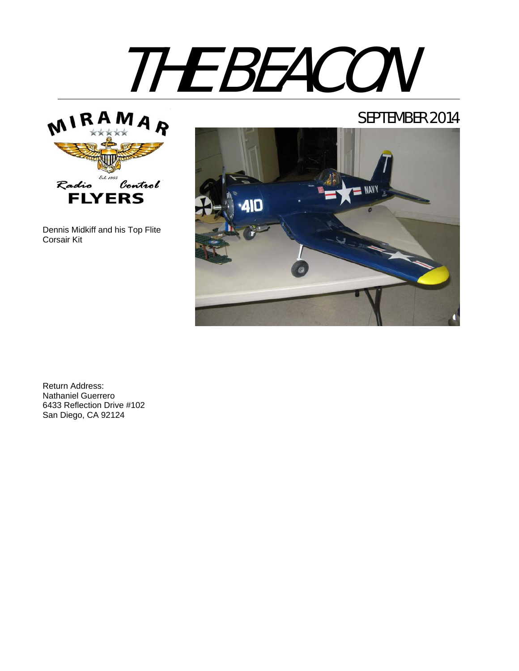# THE BEACON



Dennis Midkiff and his Top Flite Corsair Kit

# SEPTEMBER 2014



Return Address: Nathaniel Guerrero 6433 Reflection Drive #102 San Diego, CA 92124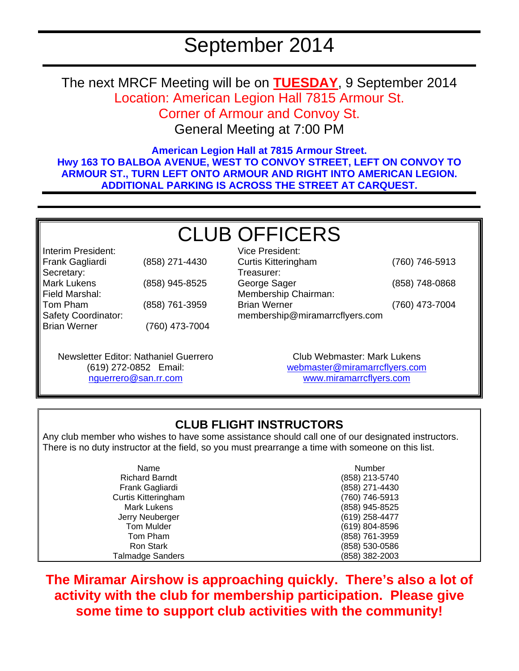The next MRCF Meeting will be on **TUESDAY**, 9 September 2014 Location: American Legion Hall 7815 Armour St. Corner of Armour and Convoy St.

General Meeting at 7:00 PM

**American Legion Hall at 7815 Armour Street. Hwy 163 TO BALBOA AVENUE, WEST TO CONVOY STREET, LEFT ON CONVOY TO ARMOUR ST., TURN LEFT ONTO ARMOUR AND RIGHT INTO AMERICAN LEGION. ADDITIONAL PARKING IS ACROSS THE STREET AT CARQUEST.** 

# CLUB OFFICERS Vice President:

Interim President: Frank Gagliardi (858) 271-4430 Secretary: Mark Lukens (858) 945-8525 Field Marshal: Tom Pham (858) 761-3959 Safety Coordinator: Brian Werner (760) 473-7004

Curtis Kitteringham (760) 746-5913 Treasurer: George Sager (858) 748-0868 Membership Chairman: Brian Werner (760) 473-7004 membership@miramarrcflyers.com

Newsletter Editor: Nathaniel Guerrero (619) 272-0852 Email: nguerrero@san.rr.com

Club Webmaster: Mark Lukens webmaster@miramarrcflyers.com www.miramarrcflyers.com

### **CLUB FLIGHT INSTRUCTORS**

Any club member who wishes to have some assistance should call one of our designated instructors. There is no duty instructor at the field, so you must prearrange a time with someone on this list.

| Name                       | Number         |
|----------------------------|----------------|
| <b>Richard Barndt</b>      | (858) 213-5740 |
| Frank Gagliardi            | (858) 271-4430 |
| <b>Curtis Kitteringham</b> | (760) 746-5913 |
| <b>Mark Lukens</b>         | (858) 945-8525 |
| Jerry Neuberger            | (619) 258-4477 |
| Tom Mulder                 | (619) 804-8596 |
| Tom Pham                   | (858) 761-3959 |
| <b>Ron Stark</b>           | (858) 530-0586 |
| <b>Talmadge Sanders</b>    | (858) 382-2003 |

**The Miramar Airshow is approaching quickly. There's also a lot of activity with the club for membership participation. Please give some time to support club activities with the community!**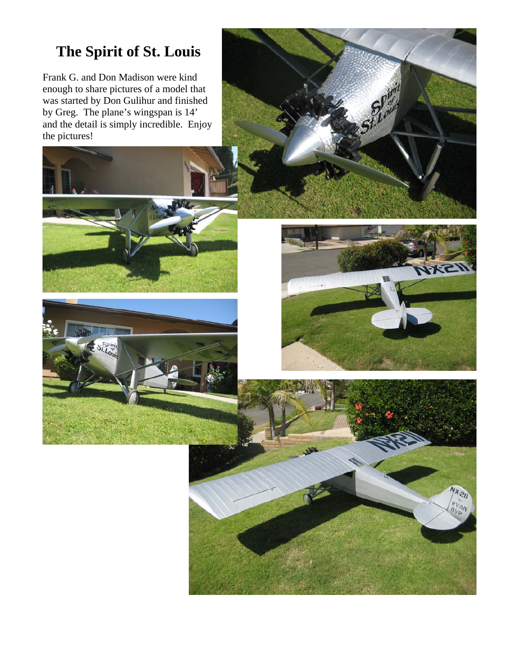# **The Spirit of St. Louis**

Frank G. and Don Madison were kind enough to share pictures of a model that was started by Don Gulihur and finished by Greg. The plane's wingspan is 14' and the detail is simply incredible. Enjoy the pictures!







 $Nx_{21}$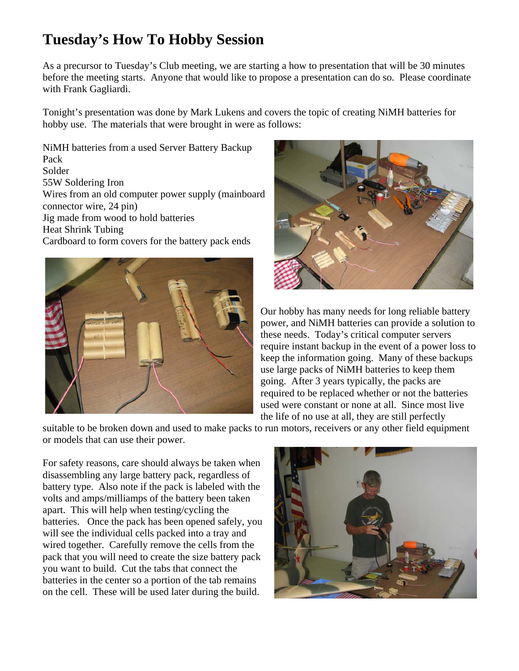# **Tuesday's How To Hobby Session**

As a precursor to Tuesday's Club meeting, we are starting a how to presentation that will be 30 minutes before the meeting starts. Anyone that would like to propose a presentation can do so. Please coordinate with Frank Gagliardi.

Tonight's presentation was done by Mark Lukens and covers the topic of creating NiMH batteries for hobby use. The materials that were brought in were as follows:

NiMH batteries from a used Server Battery Backup Pack Solder 55W Soldering Iron Wires from an old computer power supply (mainboard connector wire, 24 pin) Jig made from wood to hold batteries Heat Shrink Tubing Cardboard to form covers for the battery pack ends





Our hobby has many needs for long reliable battery power, and NiMH batteries can provide a solution to these needs. Today's critical computer servers require instant backup in the event of a power loss to keep the information going. Many of these backups use large packs of NiMH batteries to keep them going. After 3 years typically, the packs are required to be replaced whether or not the batteries used were constant or none at all. Since most live the life of no use at all, they are still perfectly

suitable to be broken down and used to make packs to run motors, receivers or any other field equipment or models that can use their power.

For safety reasons, care should always be taken when disassembling any large battery pack, regardless of battery type. Also note if the pack is labeled with the volts and amps/milliamps of the battery been taken apart. This will help when testing/cycling the batteries. Once the pack has been opened safely, you will see the individual cells packed into a tray and wired together. Carefully remove the cells from the pack that you will need to create the size battery pack you want to build. Cut the tabs that connect the batteries in the center so a portion of the tab remains on the cell. These will be used later during the build.

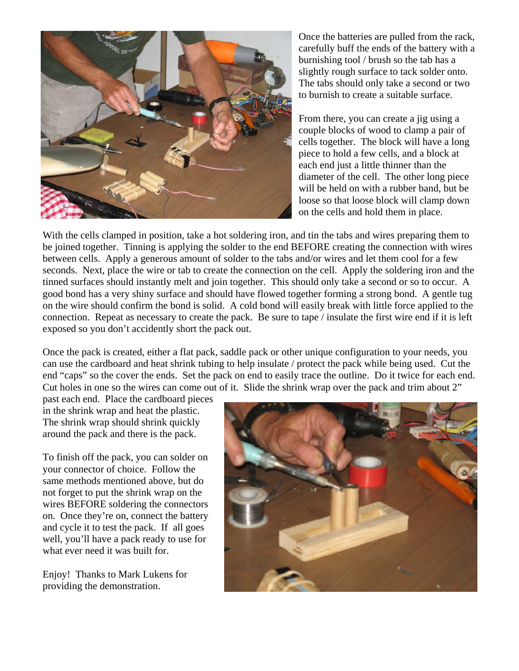

Once the batteries are pulled from the rack, carefully buff the ends of the battery with a burnishing tool / brush so the tab has a slightly rough surface to tack solder onto. The tabs should only take a second or two to burnish to create a suitable surface.

From there, you can create a jig using a couple blocks of wood to clamp a pair of cells together. The block will have a long piece to hold a few cells, and a block at each end just a little thinner than the diameter of the cell. The other long piece will be held on with a rubber band, but be loose so that loose block will clamp down on the cells and hold them in place.

With the cells clamped in position, take a hot soldering iron, and tin the tabs and wires preparing them to be joined together. Tinning is applying the solder to the end BEFORE creating the connection with wires between cells. Apply a generous amount of solder to the tabs and/or wires and let them cool for a few seconds. Next, place the wire or tab to create the connection on the cell. Apply the soldering iron and the tinned surfaces should instantly melt and join together. This should only take a second or so to occur. A good bond has a very shiny surface and should have flowed together forming a strong bond. A gentle tug on the wire should confirm the bond is solid. A cold bond will easily break with little force applied to the connection. Repeat as necessary to create the pack. Be sure to tape / insulate the first wire end if it is left exposed so you don't accidently short the pack out.

Once the pack is created, either a flat pack, saddle pack or other unique configuration to your needs, you can use the cardboard and heat shrink tubing to help insulate / protect the pack while being used. Cut the end "caps" so the cover the ends. Set the pack on end to easily trace the outline. Do it twice for each end. Cut holes in one so the wires can come out of it. Slide the shrink wrap over the pack and trim about 2"

past each end. Place the cardboard pieces in the shrink wrap and heat the plastic. The shrink wrap should shrink quickly around the pack and there is the pack.

To finish off the pack, you can solder on your connector of choice. Follow the same methods mentioned above, but do not forget to put the shrink wrap on the wires BEFORE soldering the connectors on. Once they're on, connect the battery and cycle it to test the pack. If all goes well, you'll have a pack ready to use for what ever need it was built for.

Enjoy! Thanks to Mark Lukens for providing the demonstration.

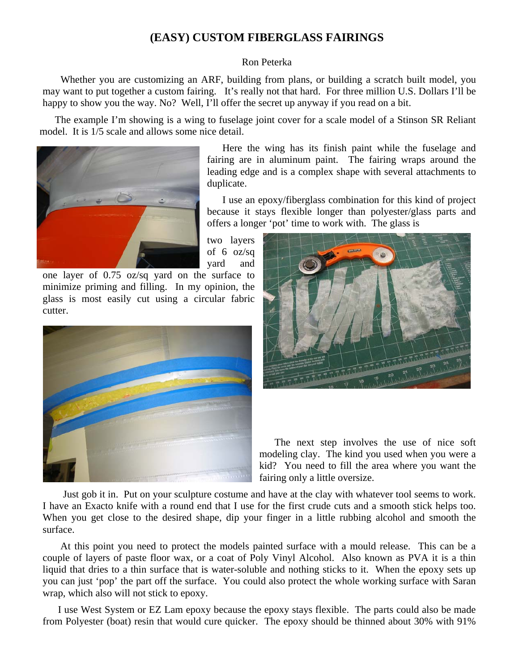#### **(EASY) CUSTOM FIBERGLASS FAIRINGS**

#### Ron Peterka

 Whether you are customizing an ARF, building from plans, or building a scratch built model, you may want to put together a custom fairing. It's really not that hard. For three million U.S. Dollars I'll be happy to show you the way. No? Well, I'll offer the secret up anyway if you read on a bit.

The example I'm showing is a wing to fuselage joint cover for a scale model of a Stinson SR Reliant model. It is 1/5 scale and allows some nice detail.



Here the wing has its finish paint while the fuselage and fairing are in aluminum paint. The fairing wraps around the leading edge and is a complex shape with several attachments to duplicate.

I use an epoxy/fiberglass combination for this kind of project because it stays flexible longer than polyester/glass parts and offers a longer 'pot' time to work with. The glass is

two layers of 6 oz/sq yard and

one layer of 0.75 oz/sq yard on the surface to minimize priming and filling. In my opinion, the glass is most easily cut using a circular fabric cutter.





The next step involves the use of nice soft modeling clay. The kind you used when you were a kid? You need to fill the area where you want the fairing only a little oversize.

 Just gob it in. Put on your sculpture costume and have at the clay with whatever tool seems to work. I have an Exacto knife with a round end that I use for the first crude cuts and a smooth stick helps too. When you get close to the desired shape, dip your finger in a little rubbing alcohol and smooth the surface.

 At this point you need to protect the models painted surface with a mould release. This can be a couple of layers of paste floor wax, or a coat of Poly Vinyl Alcohol. Also known as PVA it is a thin liquid that dries to a thin surface that is water-soluble and nothing sticks to it. When the epoxy sets up you can just 'pop' the part off the surface. You could also protect the whole working surface with Saran wrap, which also will not stick to epoxy.

I use West System or EZ Lam epoxy because the epoxy stays flexible. The parts could also be made from Polyester (boat) resin that would cure quicker. The epoxy should be thinned about 30% with 91%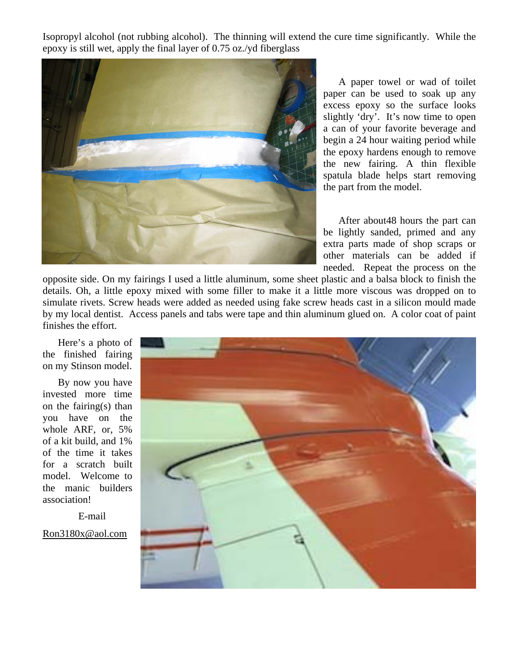Isopropyl alcohol (not rubbing alcohol). The thinning will extend the cure time significantly. While the epoxy is still wet, apply the final layer of 0.75 oz./yd fiberglass



A paper towel or wad of toilet paper can be used to soak up any excess epoxy so the surface looks slightly 'dry'. It's now time to open a can of your favorite beverage and begin a 24 hour waiting period while the epoxy hardens enough to remove the new fairing. A thin flexible spatula blade helps start removing the part from the model.

After about48 hours the part can be lightly sanded, primed and any extra parts made of shop scraps or other materials can be added if needed. Repeat the process on the

opposite side. On my fairings I used a little aluminum, some sheet plastic and a balsa block to finish the details. Oh, a little epoxy mixed with some filler to make it a little more viscous was dropped on to simulate rivets. Screw heads were added as needed using fake screw heads cast in a silicon mould made by my local dentist. Access panels and tabs were tape and thin aluminum glued on. A color coat of paint finishes the effort.

Here's a photo of the finished fairing on my Stinson model.

By now you have invested more time on the fairing(s) than you have on the whole ARF, or, 5% of a kit build, and 1% of the time it takes for a scratch built model. Welcome to the manic builders association!

E-mail

Ron3180x@aol.com

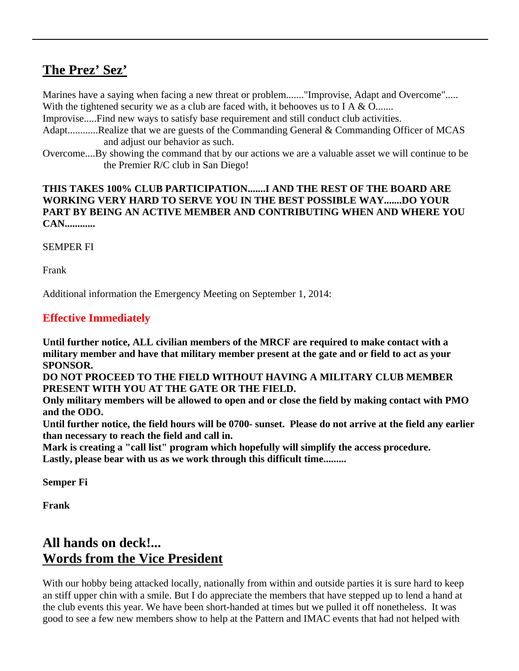# **The Prez' Sez'**

Marines have a saying when facing a new threat or problem......."Improvise, Adapt and Overcome"..... With the tightened security we as a club are faced with, it behooves us to I A  $&$  O.......

Improvise.....Find new ways to satisfy base requirement and still conduct club activities.

- Adapt............Realize that we are guests of the Commanding General & Commanding Officer of MCAS and adjust our behavior as such.
- Overcome....By showing the command that by our actions we are a valuable asset we will continue to be the Premier R/C club in San Diego!

#### **THIS TAKES 100% CLUB PARTICIPATION.......I AND THE REST OF THE BOARD ARE WORKING VERY HARD TO SERVE YOU IN THE BEST POSSIBLE WAY.......DO YOUR PART BY BEING AN ACTIVE MEMBER AND CONTRIBUTING WHEN AND WHERE YOU CAN............**

SEMPER FI

Frank

Additional information the Emergency Meeting on September 1, 2014:

#### **Effective Immediately**

**Until further notice, ALL civilian members of the MRCF are required to make contact with a military member and have that military member present at the gate and or field to act as your SPONSOR.** 

**DO NOT PROCEED TO THE FIELD WITHOUT HAVING A MILITARY CLUB MEMBER PRESENT WITH YOU AT THE GATE OR THE FIELD.** 

**Only military members will be allowed to open and or close the field by making contact with PMO and the ODO.** 

**Until further notice, the field hours will be 0700- sunset. Please do not arrive at the field any earlier than necessary to reach the field and call in.** 

**Mark is creating a "call list" program which hopefully will simplify the access procedure. Lastly, please bear with us as we work through this difficult time.........**

**Semper Fi**

**Frank**

# **All hands on deck!... Words from the Vice President**

With our hobby being attacked locally, nationally from within and outside parties it is sure hard to keep an stiff upper chin with a smile. But I do appreciate the members that have stepped up to lend a hand at the club events this year. We have been short-handed at times but we pulled it off nonetheless. It was good to see a few new members show to help at the Pattern and IMAC events that had not helped with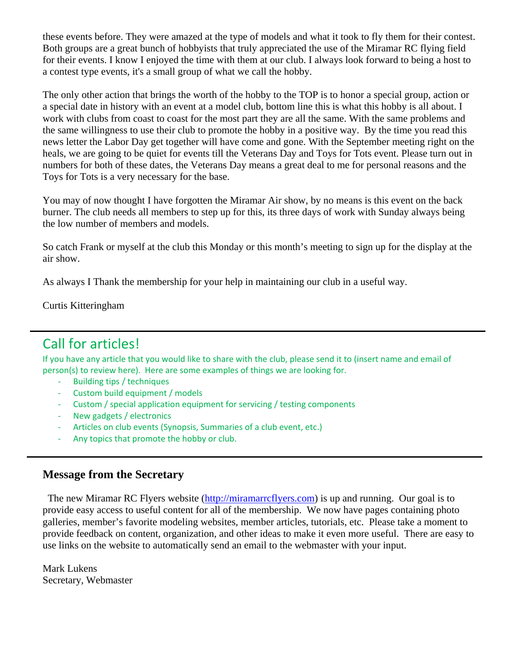these events before. They were amazed at the type of models and what it took to fly them for their contest. Both groups are a great bunch of hobbyists that truly appreciated the use of the Miramar RC flying field for their events. I know I enjoyed the time with them at our club. I always look forward to being a host to a contest type events, it's a small group of what we call the hobby.

The only other action that brings the worth of the hobby to the TOP is to honor a special group, action or a special date in history with an event at a model club, bottom line this is what this hobby is all about. I work with clubs from coast to coast for the most part they are all the same. With the same problems and the same willingness to use their club to promote the hobby in a positive way. By the time you read this news letter the Labor Day get together will have come and gone. With the September meeting right on the heals, we are going to be quiet for events till the Veterans Day and Toys for Tots event. Please turn out in numbers for both of these dates, the Veterans Day means a great deal to me for personal reasons and the Toys for Tots is a very necessary for the base.

You may of now thought I have forgotten the Miramar Air show, by no means is this event on the back burner. The club needs all members to step up for this, its three days of work with Sunday always being the low number of members and models.

So catch Frank or myself at the club this Monday or this month's meeting to sign up for the display at the air show.

As always I Thank the membership for your help in maintaining our club in a useful way.

Curtis Kitteringham

# Call for articles!

If you have any article that you would like to share with the club, please send it to (insert name and email of person(s) to review here). Here are some examples of things we are looking for.

- ‐ Building tips / techniques
- ‐ Custom build equipment / models
- Custom / special application equipment for servicing / testing components
- ‐ New gadgets / electronics
- ‐ Articles on club events (Synopsis, Summaries of a club event, etc.)
- Any topics that promote the hobby or club.

#### **Message from the Secretary**

 The new Miramar RC Flyers website (http://miramarrcflyers.com) is up and running. Our goal is to provide easy access to useful content for all of the membership. We now have pages containing photo galleries, member's favorite modeling websites, member articles, tutorials, etc. Please take a moment to provide feedback on content, organization, and other ideas to make it even more useful. There are easy to use links on the website to automatically send an email to the webmaster with your input.

Mark Lukens Secretary, Webmaster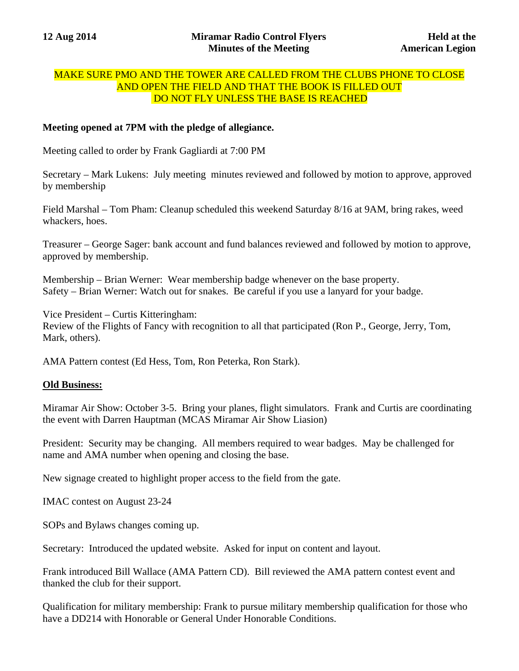#### MAKE SURE PMO AND THE TOWER ARE CALLED FROM THE CLUBS PHONE TO CLOSE AND OPEN THE FIELD AND THAT THE BOOK IS FILLED OUT DO NOT FLY UNLESS THE BASE IS REACHED

#### **Meeting opened at 7PM with the pledge of allegiance.**

Meeting called to order by Frank Gagliardi at 7:00 PM

Secretary – Mark Lukens: July meeting minutes reviewed and followed by motion to approve, approved by membership

Field Marshal – Tom Pham: Cleanup scheduled this weekend Saturday 8/16 at 9AM, bring rakes, weed whackers, hoes.

Treasurer – George Sager: bank account and fund balances reviewed and followed by motion to approve, approved by membership.

Membership – Brian Werner: Wear membership badge whenever on the base property. Safety – Brian Werner: Watch out for snakes. Be careful if you use a lanyard for your badge.

Vice President – Curtis Kitteringham: Review of the Flights of Fancy with recognition to all that participated (Ron P., George, Jerry, Tom, Mark, others).

AMA Pattern contest (Ed Hess, Tom, Ron Peterka, Ron Stark).

#### **Old Business:**

Miramar Air Show: October 3-5. Bring your planes, flight simulators. Frank and Curtis are coordinating the event with Darren Hauptman (MCAS Miramar Air Show Liasion)

President: Security may be changing. All members required to wear badges. May be challenged for name and AMA number when opening and closing the base.

New signage created to highlight proper access to the field from the gate.

IMAC contest on August 23-24

SOPs and Bylaws changes coming up.

Secretary: Introduced the updated website. Asked for input on content and layout.

Frank introduced Bill Wallace (AMA Pattern CD). Bill reviewed the AMA pattern contest event and thanked the club for their support.

Qualification for military membership: Frank to pursue military membership qualification for those who have a DD214 with Honorable or General Under Honorable Conditions.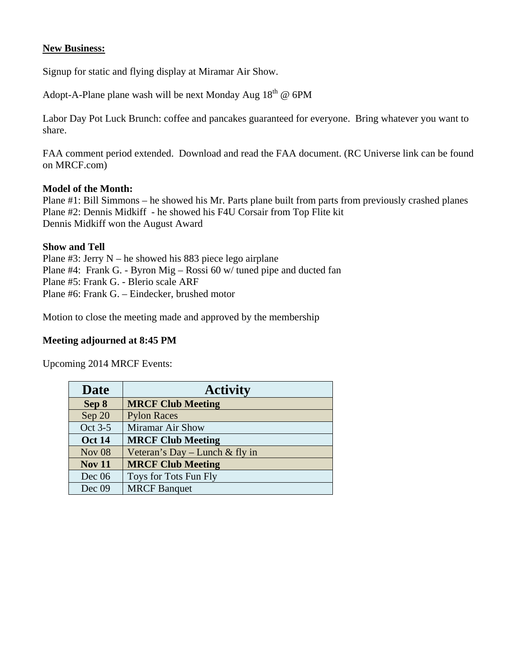#### **New Business:**

Signup for static and flying display at Miramar Air Show.

Adopt-A-Plane plane wash will be next Monday Aug  $18<sup>th</sup>$  @ 6PM

Labor Day Pot Luck Brunch: coffee and pancakes guaranteed for everyone. Bring whatever you want to share.

FAA comment period extended. Download and read the FAA document. (RC Universe link can be found on MRCF.com)

#### **Model of the Month:**

Plane #1: Bill Simmons – he showed his Mr. Parts plane built from parts from previously crashed planes Plane #2: Dennis Midkiff - he showed his F4U Corsair from Top Flite kit Dennis Midkiff won the August Award

#### **Show and Tell**

Plane #3: Jerry N – he showed his 883 piece lego airplane Plane #4: Frank G. - Byron Mig – Rossi 60 w/ tuned pipe and ducted fan Plane #5: Frank G. - Blerio scale ARF Plane #6: Frank G. – Eindecker, brushed motor

Motion to close the meeting made and approved by the membership

#### **Meeting adjourned at 8:45 PM**

Upcoming 2014 MRCF Events:

| <b>Date</b>   | <b>Activity</b>                |
|---------------|--------------------------------|
| Sep 8         | <b>MRCF Club Meeting</b>       |
| Sep 20        | <b>Pylon Races</b>             |
| Oct 3-5       | <b>Miramar Air Show</b>        |
| <b>Oct 14</b> | <b>MRCF Club Meeting</b>       |
| <b>Nov 08</b> | Veteran's Day - Lunch & fly in |
| <b>Nov 11</b> | <b>MRCF Club Meeting</b>       |
| Dec $06$      | Toys for Tots Fun Fly          |
| Dec 09        | <b>MRCF</b> Banquet            |